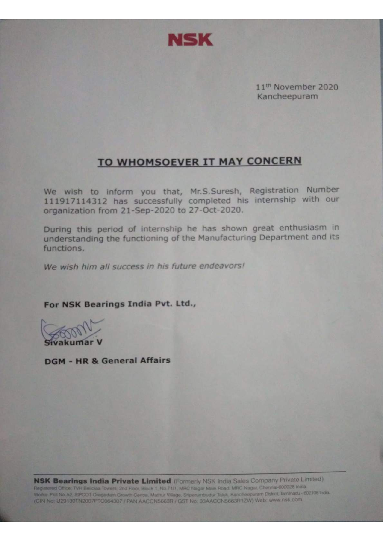

11<sup>th</sup> November 2020 Kancheepuram

### TO WHOMSOEVER IT MAY CONCERN

We wish to inform you that, Mr.S.Suresh, Registration Number 111917114312 has successfully completed his internship with our organization from 21-Sep-2020 to 27-Oct-2020.

During this period of internship he has shown great enthusiasm in understanding the functioning of the Manufacturing Department and its functions.

We wish him all success in his future endeavors!

#### For NSK Bearings India Pvt. Ltd.,

akumar

**DGM - HR & General Affairs** 

NSK Bearings India Private Limited (Formerly NSK India Sales Company Private Limited) Registered Office: TVH Beliciaa Towers, 2nd Floor, Block 1, No.71/1, MRC Nagar Main Road, MRC Nagar, Chennal-600028 India Works Plot No A2, SIPCOT Oragadam Growth Centre, Mattur Village, Sriperumbudur Taluk, Kancheepuram District, Taminadu - 602105 India. (CIN No: U29130TN2007PTC064307 / PAN AACCN5663R / GST No: 33AACCN5663R1ZW) Web: www.nsk.com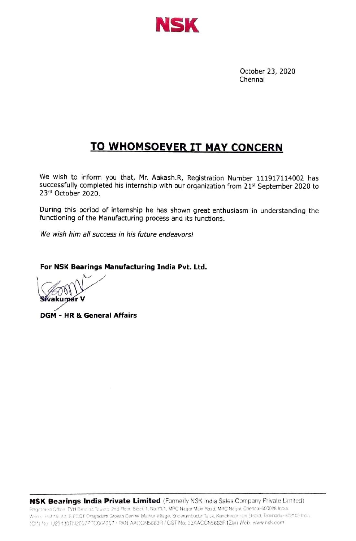

## **TO WHOMSOEVER IT MAY CONCERN**

We wish to inform you that, Mr. Aakash.R, Registration Number 111917114002 has successfully completed his internship with our organization from 21<sup>st</sup> September 2020 to 23rd October 2020.

During this period of internship he has shown great enthusiasm in understanding the functioning of the Manufacturing process and its functions.

We wish him all success in his future endeavors!

For NSK Bearings Manufacturing India Pvt. Ltd.

**DGM - HR & General Affairs**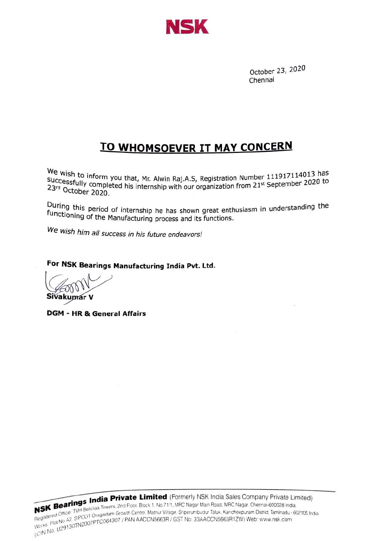

## TO WHOMSOEVER IT MAY cONCERN

We wish to inform you that, Mr. Alwin Raj.A.S, Registration Number 111917114013 has Successfully completed his internship with our organization from 21st September 2020 to<br>23rd October 2020 to 23rd October 2020.

During this period of internship he has shown great enthusiasm in understanding the functioning of the Manufacturing process and its functions.

We wish him all success in his future endeavors!

For NSK Bearings Manufacturing India Pvt. Ltd.

akumar V

DGM - HR & General Affairs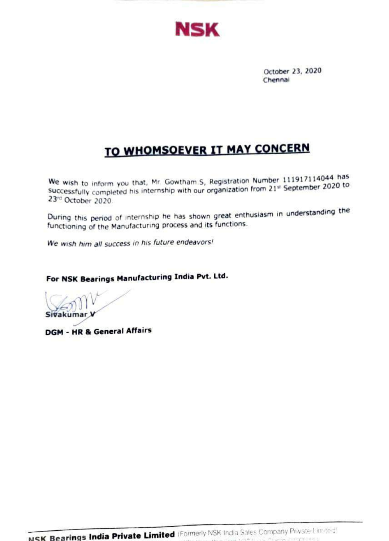

# TO WHOMSOEVER IT MAY CONCERN

We wish to inform you that, Mr. Gowtham.S, Registration Number 111917114044 has Successfully completed his internship with our organization from 21st September 2020 to 23rd October 2020.

During this period of internship he has shown great enthusiasm in understanding the functioning of the Manufacturing process and its functions.

We wish him all success in his future endeavors!

For NSK Bearings Manufacturing India Pvt. Ltd.

Sivakumar )

**DGM - HR & General Affairs**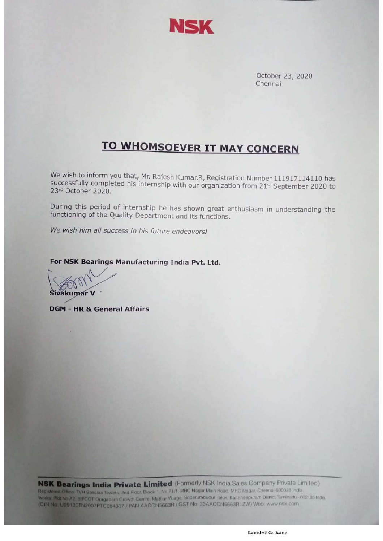

# **TO WHOMSOEVER IT MAY CONCERN**

We wish to inform you that, Mr. Rajesh Kumar.R, Registration Number 111917114110 has successfully completed his internship with our organization from 21<sup>st</sup> September 2020 to 23rd October 2020.

During this period of internship he has shown great enthusiasm in understanding the functioning of the Quality Department and its functions.

We wish him all success in his future endeavors!

#### For NSK Bearings Manufacturing India Pvt. Ltd.

Sivakumar V

**DGM - HR & General Affairs** 

**NSK Bearings India Private Limited** (Formerly NSK India Sales Company Private Limited) Registered Office: TVH Beliciaa Towers, 2nd Floor, Block 1, No.71/1, MRC Nagar Main Road, MRC Nagar, Chennai-600028 India Works Plot No A2, SIPCOT Oragadam Growth Centre, Mathur Village, Sriperumbudur Taluk, Kancheepuram District, Tamihadu - 602105 India. (CIN No: U29130TN2007PTC064307 / PAN AACCN5663R / GST No: 33AACCN5663R1ZW) Web: www.nsk.com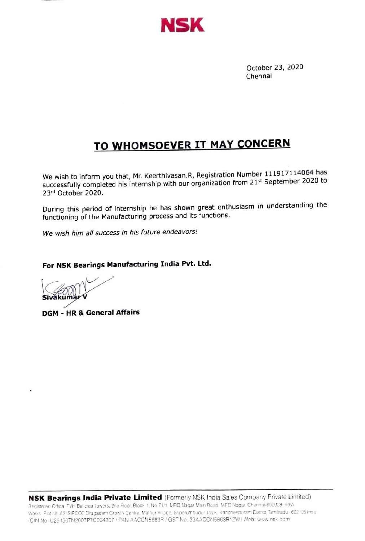

# **TO WHOMSOEVER IT MAY CONCERN**

We wish to inform you that, Mr. Keerthivasan.R, Registration Number 111917114064 has successfully completed his internship with our organization from 21st September 2020 to 23rd October 2020.

During this period of internship he has shown great enthusiasm in understanding the functioning of the Manufacturing process and its functions.

We wish him all success in his future endeavors!

#### For NSK Bearings Manufacturing India Pvt. Ltd.

**DGM - HR & General Affairs**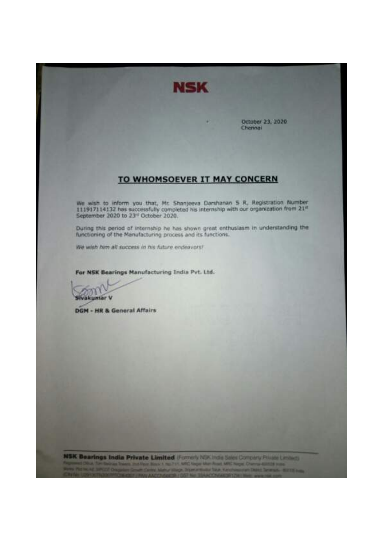

#### TO WHOMSOEVER IT MAY CONCERN

We wish to inform you that, Mr. Shanjeeva Darshanan S R, Registration Number 111917114132 has successfully completed his internship with our organization from 21<sup>et</sup> September 2020 to 23<sup>-1</sup> October 2020.

During this period of internship he has shown great enthusiasm in understanding the functioning of the Manufacturing process and its functions.

We wish him all success in his future endeavors!

For NSK Bearings Manufacturing India Pvt. Ltd.

m Sivakuntar V

**DGM - HR & General Affairs** 

NSK Bearings India Private Limited (Former) NSK India Sales Corrolly Private Limited) on Block 1 mil 711 ARC tager shot Road ARC hape. Channel Milliti supp. **Statement of State Kandings for Table Toro** --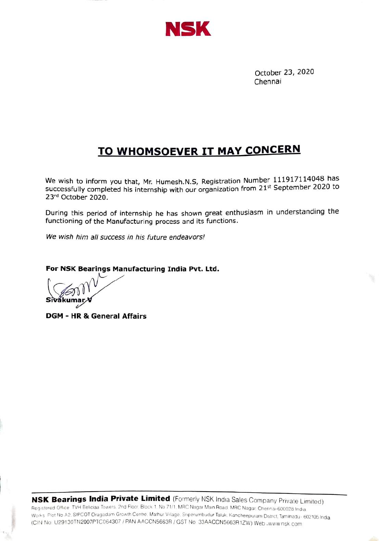

## TO WHOMSOEVER IT MAY CONCERN

We wish to inform you that, Mr. Humesh.N.S, Registration Number 111917114048 has successfully completed his internship with our organization from 21st September 2020 to 23rd October 2020.

During this period of internship he has shown great enthusiasm in understanding the functioning of the Manufacturing process and its functions.

We wish him all success in his future endeavors!

For NSK Bearings Manufacturing India Pvt. Ltd.

Sîvákur

DGM - HR & General Affairs

NSK Bearings India Private Limited (Fomerly NSK India Sales Company Private Limited) Registered Office TVH Beliciaa Towers, 2nd Floor, Block 1, No 71/1, MRC Nagar Main Road. MRC Nagar, Chennai-600028 India Works Plot No A2. SIPCOT Oragadam Growth Centre Mathur Vilage Srperumbudur Taluk. Kancheepuram Dstrct. Taminadu -602105 India (CIN No U29130TN2007PTCO64307/ PAN AACCNS663R /GST No 33AACCN5663R 1ZW) Web .www nsk com